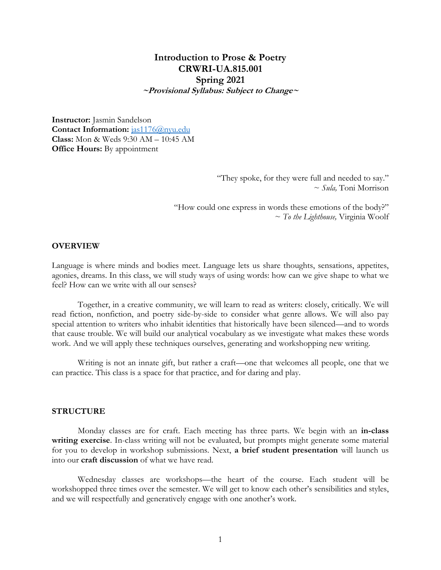# **Introduction to Prose & Poetry CRWRI-UA.815.001 Spring 2021 ~Provisional Syllabus: Subject to Change~**

**Instructor:** Jasmin Sandelson Contact Information: **[jas1176@nyu.edu](mailto:jas1176@nyu.edu) Class:** Mon & Weds 9:30 AM – 10:45 AM **Office Hours:** By appointment

> "They spoke, for they were full and needed to say." ~ *Sula,* Toni Morrison

"How could one express in words these emotions of the body?" ~ *To the Lighthouse,* Virginia Woolf

### **OVERVIEW**

Language is where minds and bodies meet. Language lets us share thoughts, sensations, appetites, agonies, dreams. In this class, we will study ways of using words: how can we give shape to what we feel? How can we write with all our senses?

Together, in a creative community, we will learn to read as writers: closely, critically. We will read fiction, nonfiction, and poetry side-by-side to consider what genre allows. We will also pay special attention to writers who inhabit identities that historically have been silenced—and to words that cause trouble. We will build our analytical vocabulary as we investigate what makes these words work. And we will apply these techniques ourselves, generating and workshopping new writing.

Writing is not an innate gift, but rather a craft—one that welcomes all people, one that we can practice. This class is a space for that practice, and for daring and play.

#### **STRUCTURE**

Monday classes are for craft. Each meeting has three parts. We begin with an **in-class writing exercise**. In-class writing will not be evaluated, but prompts might generate some material for you to develop in workshop submissions. Next, **a brief student presentation** will launch us into our **craft discussion** of what we have read.

Wednesday classes are workshops—the heart of the course. Each student will be workshopped three times over the semester. We will get to know each other's sensibilities and styles, and we will respectfully and generatively engage with one another's work.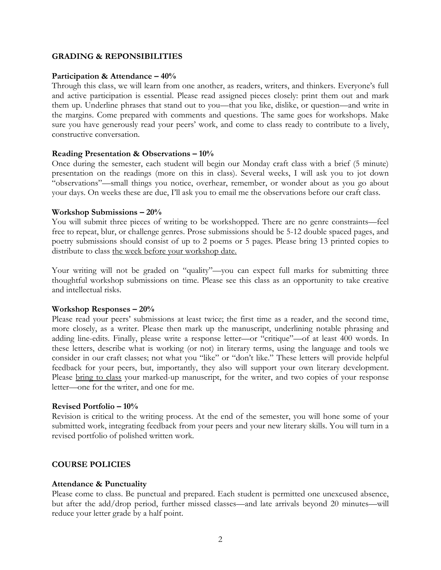#### **GRADING & REPONSIBILITIES**

#### **Participation & Attendance – 40%**

Through this class, we will learn from one another, as readers, writers, and thinkers. Everyone's full and active participation is essential. Please read assigned pieces closely: print them out and mark them up. Underline phrases that stand out to you—that you like, dislike, or question—and write in the margins. Come prepared with comments and questions. The same goes for workshops. Make sure you have generously read your peers' work, and come to class ready to contribute to a lively, constructive conversation.

#### **Reading Presentation & Observations – 10%**

Once during the semester, each student will begin our Monday craft class with a brief (5 minute) presentation on the readings (more on this in class). Several weeks, I will ask you to jot down "observations"—small things you notice, overhear, remember, or wonder about as you go about your days. On weeks these are due, I'll ask you to email me the observations before our craft class.

#### **Workshop Submissions – 20%**

You will submit three pieces of writing to be workshopped. There are no genre constraints—feel free to repeat, blur, or challenge genres. Prose submissions should be 5-12 double spaced pages, and poetry submissions should consist of up to 2 poems or 5 pages. Please bring 13 printed copies to distribute to class the week before your workshop date.

Your writing will not be graded on "quality"—you can expect full marks for submitting three thoughtful workshop submissions on time. Please see this class as an opportunity to take creative and intellectual risks.

#### **Workshop Responses – 20%**

Please read your peers' submissions at least twice; the first time as a reader, and the second time, more closely, as a writer. Please then mark up the manuscript, underlining notable phrasing and adding line-edits. Finally, please write a response letter—or "critique"—of at least 400 words. In these letters, describe what is working (or not) in literary terms, using the language and tools we consider in our craft classes; not what you "like" or "don't like." These letters will provide helpful feedback for your peers, but, importantly, they also will support your own literary development. Please bring to class your marked-up manuscript, for the writer, and two copies of your response letter—one for the writer, and one for me.

#### **Revised Portfolio – 10%**

Revision is critical to the writing process. At the end of the semester, you will hone some of your submitted work, integrating feedback from your peers and your new literary skills. You will turn in a revised portfolio of polished written work.

#### **COURSE POLICIES**

#### **Attendance & Punctuality**

Please come to class. Be punctual and prepared. Each student is permitted one unexcused absence, but after the add/drop period, further missed classes—and late arrivals beyond 20 minutes—will reduce your letter grade by a half point.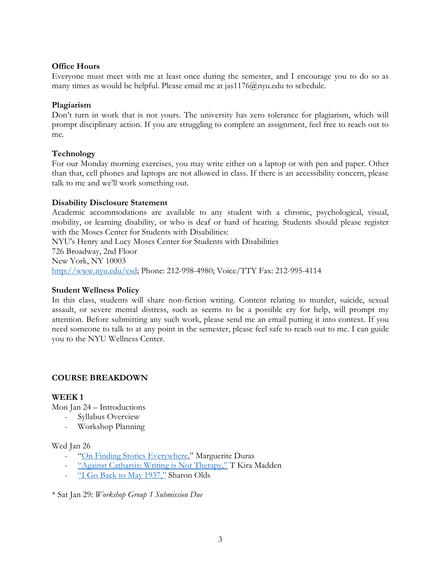# **Office Hours**

Everyone must meet with me at least once during the semester, and I encourage you to do so as many times as would be helpful. Please email me at jas1176 $@$ nyu.edu to schedule.

# **Plagiarism**

Don't turn in work that is not yours. The university has zero tolerance for plagiarism, which will prompt disciplinary action. If you are struggling to complete an assignment, feel free to reach out to me.

# **Technology**

For our Monday morning exercises, you may write either on a laptop or with pen and paper. Other than that, cell phones and laptops are not allowed in class. If there is an accessibility concern, please talk to me and we'll work something out.

# **Disability Disclosure Statement**

Academic accommodations are available to any student with a chronic, psychological, visual, mobility, or learning disability, or who is deaf or hard of hearing. Students should please register with the Moses Center for Students with Disabilities:

NYU's Henry and Lucy Moses Center for Students with Disabilities 726 Broadway, 2nd Floor New York, NY 10003 [http://www.nyu.edu/csd;](http://www.nyu.edu/csd) Phone: 212-998-4980; Voice/TTY Fax: 212-995-4114

# **Student Wellness Policy**

In this class, students will share non-fiction writing. Content relating to murder, suicide, sexual assault, or severe mental distress, such as seems to be a possible cry for help, will prompt my attention. Before submitting any such work, please send me an email putting it into context. If you need someone to talk to at any point in the semester, please feel safe to reach out to me. I can guide you to the NYU Wellness Center.

# **COURSE BREAKDOWN**

# **WEEK 1**

Mon Jan 24 – Introductions

- Syllabus Overview
- Workshop Planning

#### Wed Jan 26

- "[On Finding Stories Everywhere](https://lithub.com/marguerite-duras-on-finding-stories-everywhere/)," Marguerite Duras
- ["Against Catharsis: Writing is Not Therapy,"](https://lithub.com/against-catharsis-writing-is-not-therapy/) T Kira Madden
- ["I Go Back to May 1937,"](https://www.poetryfoundation.org/poems/47057/i-go-back-to-may-1937) Sharon Olds

\* Sat Jan 29: *Workshop Group 1 Submission Due*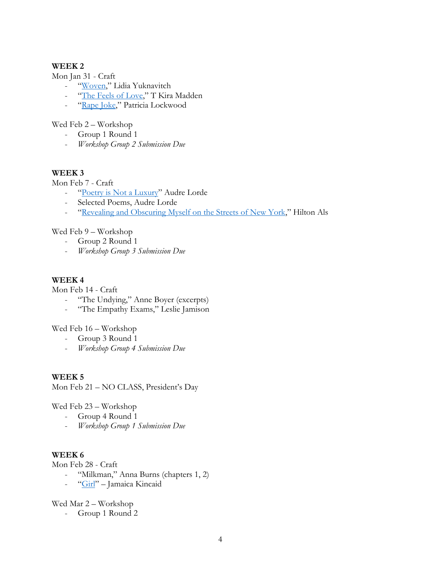# **WEEK 2**

Mon Jan 31 - Craft

- "[Woven,](https://www.guernicamag.com/woven/)" Lidia Yuknavitch
- "[The Feels of Love,](https://www.guernicamag.com/the-feels-of-love/)" T Kira Madden
- "[Rape Joke,](https://www.theawl.com/2013/07/patricia-lockwood-rape-joke/)" Patricia Lockwood

Wed Feb 2 – Workshop

- Group 1 Round 1
- *Workshop Group 2 Submission Due*

# **WEEK 3**

Mon Feb 7 - Craft

- "[Poetry is Not a Luxury](https://makinglearning.files.wordpress.com/2014/01/poetry-is-not-a-luxury-audre-lorde.pdf)" Audre Lorde
- Selected Poems, Audre Lorde
- "[Revealing and Obscuring Myself on the Streets of New York](https://www.newyorker.com/culture/personal-history/revealing-and-obscuring-myself-on-the-streets-of-new-york)," Hilton Als

Wed Feb 9 – Workshop

- Group 2 Round 1
- *Workshop Group 3 Submission Due*

#### **WEEK 4**

Mon Feb 14 - Craft

- "The Undying," Anne Boyer (excerpts)
- "The Empathy Exams," Leslie Jamison

Wed Feb 16 – Workshop

- Group 3 Round 1
- *Workshop Group 4 Submission Due*

#### **WEEK 5**

Mon Feb 21 – NO CLASS, President's Day

Wed Feb 23 – Workshop

- Group 4 Round 1
- *Workshop Group 1 Submission Due*

### **WEEK 6**

Mon Feb 28 - Craft

- "Milkman," Anna Burns (chapters 1, 2)
- "[Girl](https://www.newyorker.com/magazine/1978/06/26/girl)" Jamaica Kincaid

Wed Mar 2 – Workshop

- Group 1 Round 2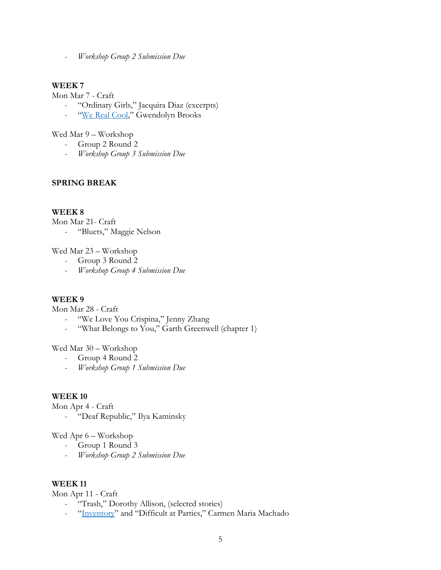- *Workshop Group 2 Submission Due*

### **WEEK 7**

Mon Mar 7 - Craft

- "Ordinary Girls," Jacquira Diaz (excerpts)
- "[We Real Cool](https://www.poetryfoundation.org/poetrymagazine/poems/28112/we-real-cool)," Gwendolyn Brooks

Wed Mar 9 – Workshop

- Group 2 Round 2
- *Workshop Group 3 Submission Due*

#### **SPRING BREAK**

# **WEEK 8**

Mon Mar 21- Craft

- "Bluets," Maggie Nelson

Wed Mar 23 – Workshop

- Group 3 Round 2
- *Workshop Group 4 Submission Due*

# **WEEK 9**

Mon Mar 28 - Craft

- "We Love You Crispina," Jenny Zhang
- "What Belongs to You," Garth Greenwell (chapter 1)

Wed Mar 30 – Workshop

- Group 4 Round 2
- *Workshop Group 1 Submission Due*

#### **WEEK 10**

Mon Apr 4 - Craft

- "Deaf Republic," Ilya Kaminsky

Wed Apr 6 – Workshop

- Group 1 Round 3
- *Workshop Group 2 Submission Due*

# **WEEK 11**

Mon Apr 11 - Craft

- "Trash," Dorothy Allison, (selected stories)
- "[Inventory](https://lithub.com/inventory/)" and "Difficult at Parties," Carmen Maria Machado